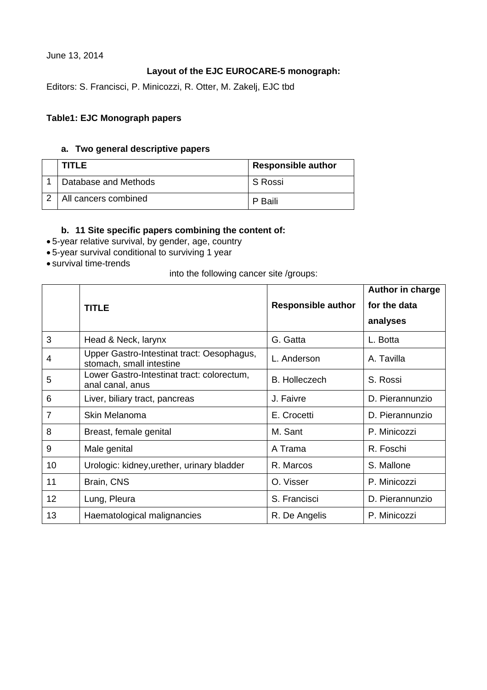June 13, 2014

## **Layout of the EJC EUROCARE-5 monograph:**

Editors: S. Francisci, P. Minicozzi, R. Otter, M. Zakelj, EJC tbd

### **Table1: EJC Monograph papers**

#### **a. Two general descriptive papers**

| <b>TITLE</b>         | <b>Responsible author</b> |
|----------------------|---------------------------|
| Database and Methods | S Rossi                   |
| All cancers combined | P Baili                   |

#### **b. 11 Site specific papers combining the content of:**

- 5-year relative survival, by gender, age, country
- 5-year survival conditional to surviving 1 year
- survival time-trends

#### into the following cancer site /groups:

|                |                                                                        |                           | Author in charge |
|----------------|------------------------------------------------------------------------|---------------------------|------------------|
|                | <b>TITLE</b>                                                           | <b>Responsible author</b> | for the data     |
|                |                                                                        |                           | analyses         |
| 3              | Head & Neck, larynx                                                    | G. Gatta                  | L. Botta         |
| 4              | Upper Gastro-Intestinat tract: Oesophagus,<br>stomach, small intestine | L. Anderson               | A. Tavilla       |
| 5              | Lower Gastro-Intestinat tract: colorectum,<br>anal canal, anus         | <b>B.</b> Holleczech      | S. Rossi         |
| 6              | Liver, biliary tract, pancreas                                         | J. Faivre                 | D. Pierannunzio  |
| $\overline{7}$ | Skin Melanoma                                                          | E. Crocetti               | D. Pierannunzio  |
| 8              | Breast, female genital                                                 | M. Sant                   | P. Minicozzi     |
| 9              | Male genital                                                           | A Trama                   | R. Foschi        |
| 10             | Urologic: kidney, urether, urinary bladder                             | R. Marcos                 | S. Mallone       |
| 11             | Brain, CNS                                                             | O. Visser                 | P. Minicozzi     |
| 12             | Lung, Pleura                                                           | S. Francisci              | D. Pierannunzio  |
| 13             | Haematological malignancies                                            | R. De Angelis             | P. Minicozzi     |